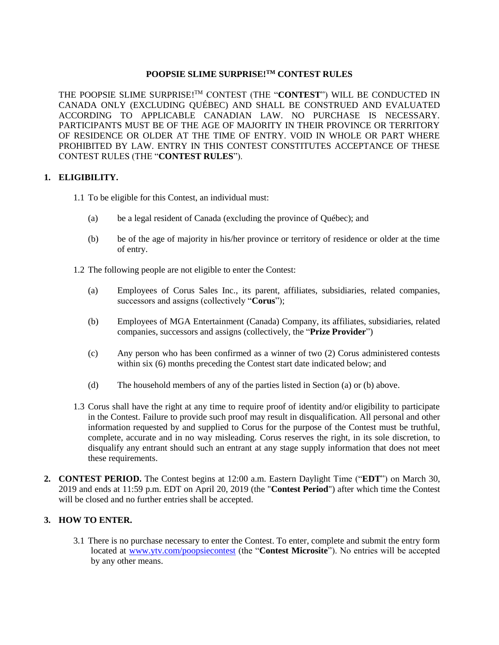# **POOPSIE SLIME SURPRISE! TM CONTEST RULES**

THE POOPSIE SLIME SURPRISE!<sup>™</sup> CONTEST (THE "**CONTEST**") WILL BE CONDUCTED IN CANADA ONLY (EXCLUDING QUÉBEC) AND SHALL BE CONSTRUED AND EVALUATED ACCORDING TO APPLICABLE CANADIAN LAW. NO PURCHASE IS NECESSARY. PARTICIPANTS MUST BE OF THE AGE OF MAJORITY IN THEIR PROVINCE OR TERRITORY OF RESIDENCE OR OLDER AT THE TIME OF ENTRY. VOID IN WHOLE OR PART WHERE PROHIBITED BY LAW. ENTRY IN THIS CONTEST CONSTITUTES ACCEPTANCE OF THESE CONTEST RULES (THE "**CONTEST RULES**").

# **1. ELIGIBILITY.**

- 1.1 To be eligible for this Contest, an individual must:
	- (a) be a legal resident of Canada (excluding the province of Québec); and
	- (b) be of the age of majority in his/her province or territory of residence or older at the time of entry.

1.2 The following people are not eligible to enter the Contest:

- (a) Employees of Corus Sales Inc., its parent, affiliates, subsidiaries, related companies, successors and assigns (collectively "**Corus**");
- (b) Employees of MGA Entertainment (Canada) Company, its affiliates, subsidiaries, related companies, successors and assigns (collectively, the "**Prize Provider**")
- (c) Any person who has been confirmed as a winner of two (2) Corus administered contests within six (6) months preceding the Contest start date indicated below; and
- (d) The household members of any of the parties listed in Section (a) or (b) above.
- 1.3 Corus shall have the right at any time to require proof of identity and/or eligibility to participate in the Contest. Failure to provide such proof may result in disqualification. All personal and other information requested by and supplied to Corus for the purpose of the Contest must be truthful, complete, accurate and in no way misleading. Corus reserves the right, in its sole discretion, to disqualify any entrant should such an entrant at any stage supply information that does not meet these requirements.
- **2. CONTEST PERIOD.** The Contest begins at 12:00 a.m. Eastern Daylight Time ("**EDT**") on March 30, 2019 and ends at 11:59 p.m. EDT on April 20, 2019 (the "**Contest Period**") after which time the Contest will be closed and no further entries shall be accepted.

# **3. HOW TO ENTER.**

3.1 There is no purchase necessary to enter the Contest. To enter, complete and submit the entry form located at [www.ytv.com/poopsiecontest](http://www.ytv.com/poopsiecontest) (the "**Contest Microsite**"). No entries will be accepted by any other means.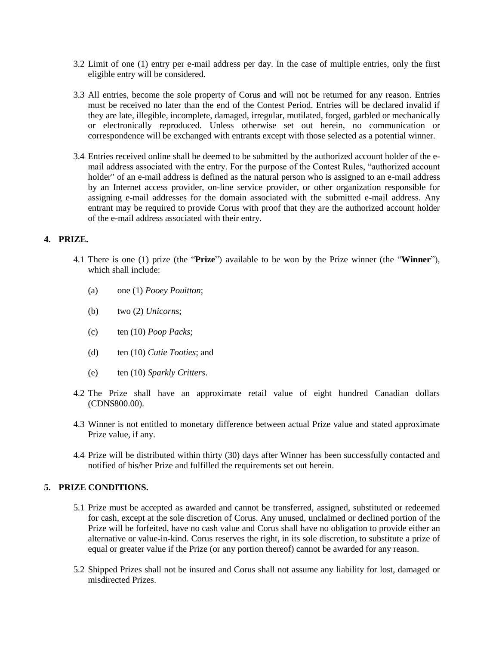- 3.2 Limit of one (1) entry per e-mail address per day. In the case of multiple entries, only the first eligible entry will be considered.
- 3.3 All entries, become the sole property of Corus and will not be returned for any reason. Entries must be received no later than the end of the Contest Period. Entries will be declared invalid if they are late, illegible, incomplete, damaged, irregular, mutilated, forged, garbled or mechanically or electronically reproduced. Unless otherwise set out herein, no communication or correspondence will be exchanged with entrants except with those selected as a potential winner.
- 3.4 Entries received online shall be deemed to be submitted by the authorized account holder of the email address associated with the entry. For the purpose of the Contest Rules, "authorized account holder" of an e-mail address is defined as the natural person who is assigned to an e-mail address by an Internet access provider, on-line service provider, or other organization responsible for assigning e-mail addresses for the domain associated with the submitted e-mail address. Any entrant may be required to provide Corus with proof that they are the authorized account holder of the e-mail address associated with their entry.

# **4. PRIZE.**

- 4.1 There is one (1) prize (the "**Prize**") available to be won by the Prize winner (the "**Winner**"), which shall include:
	- (a) one (1) *Pooey Pouitton*;
	- (b) two (2) *Unicorns*;
	- (c) ten (10) *Poop Packs*;
	- (d) ten (10) *Cutie Tooties*; and
	- (e) ten (10) *Sparkly Critters*.
- 4.2 The Prize shall have an approximate retail value of eight hundred Canadian dollars (CDN\$800.00).
- 4.3 Winner is not entitled to monetary difference between actual Prize value and stated approximate Prize value, if any.
- 4.4 Prize will be distributed within thirty (30) days after Winner has been successfully contacted and notified of his/her Prize and fulfilled the requirements set out herein.

#### **5. PRIZE CONDITIONS.**

- 5.1 Prize must be accepted as awarded and cannot be transferred, assigned, substituted or redeemed for cash, except at the sole discretion of Corus. Any unused, unclaimed or declined portion of the Prize will be forfeited, have no cash value and Corus shall have no obligation to provide either an alternative or value-in-kind. Corus reserves the right, in its sole discretion, to substitute a prize of equal or greater value if the Prize (or any portion thereof) cannot be awarded for any reason.
- 5.2 Shipped Prizes shall not be insured and Corus shall not assume any liability for lost, damaged or misdirected Prizes.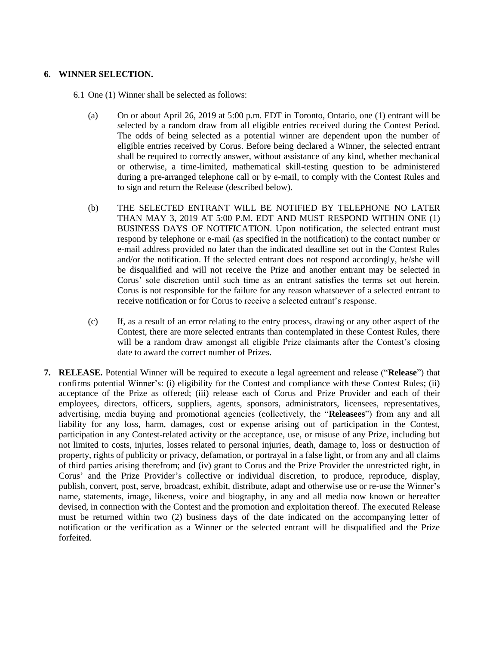#### **6. WINNER SELECTION.**

6.1 One (1) Winner shall be selected as follows:

- (a) On or about April 26, 2019 at 5:00 p.m. EDT in Toronto, Ontario, one (1) entrant will be selected by a random draw from all eligible entries received during the Contest Period. The odds of being selected as a potential winner are dependent upon the number of eligible entries received by Corus. Before being declared a Winner, the selected entrant shall be required to correctly answer, without assistance of any kind, whether mechanical or otherwise, a time-limited, mathematical skill-testing question to be administered during a pre-arranged telephone call or by e-mail, to comply with the Contest Rules and to sign and return the Release (described below).
- (b) THE SELECTED ENTRANT WILL BE NOTIFIED BY TELEPHONE NO LATER THAN MAY 3, 2019 AT 5:00 P.M. EDT AND MUST RESPOND WITHIN ONE (1) BUSINESS DAYS OF NOTIFICATION. Upon notification, the selected entrant must respond by telephone or e-mail (as specified in the notification) to the contact number or e-mail address provided no later than the indicated deadline set out in the Contest Rules and/or the notification. If the selected entrant does not respond accordingly, he/she will be disqualified and will not receive the Prize and another entrant may be selected in Corus' sole discretion until such time as an entrant satisfies the terms set out herein. Corus is not responsible for the failure for any reason whatsoever of a selected entrant to receive notification or for Corus to receive a selected entrant's response.
- (c) If, as a result of an error relating to the entry process, drawing or any other aspect of the Contest, there are more selected entrants than contemplated in these Contest Rules, there will be a random draw amongst all eligible Prize claimants after the Contest's closing date to award the correct number of Prizes.
- **7. RELEASE.** Potential Winner will be required to execute a legal agreement and release ("**Release**") that confirms potential Winner's: (i) eligibility for the Contest and compliance with these Contest Rules; (ii) acceptance of the Prize as offered; (iii) release each of Corus and Prize Provider and each of their employees, directors, officers, suppliers, agents, sponsors, administrators, licensees, representatives, advertising, media buying and promotional agencies (collectively, the "**Releasees**") from any and all liability for any loss, harm, damages, cost or expense arising out of participation in the Contest, participation in any Contest-related activity or the acceptance, use, or misuse of any Prize, including but not limited to costs, injuries, losses related to personal injuries, death, damage to, loss or destruction of property, rights of publicity or privacy, defamation, or portrayal in a false light, or from any and all claims of third parties arising therefrom; and (iv) grant to Corus and the Prize Provider the unrestricted right, in Corus' and the Prize Provider's collective or individual discretion, to produce, reproduce, display, publish, convert, post, serve, broadcast, exhibit, distribute, adapt and otherwise use or re-use the Winner's name, statements, image, likeness, voice and biography, in any and all media now known or hereafter devised, in connection with the Contest and the promotion and exploitation thereof. The executed Release must be returned within two (2) business days of the date indicated on the accompanying letter of notification or the verification as a Winner or the selected entrant will be disqualified and the Prize forfeited.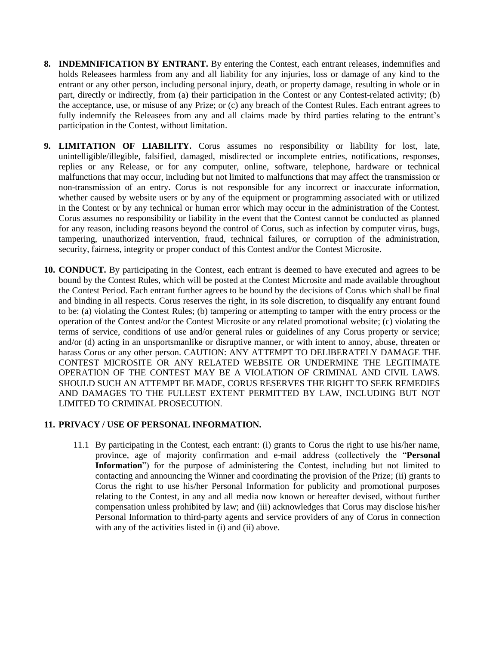- **8. INDEMNIFICATION BY ENTRANT.** By entering the Contest, each entrant releases, indemnifies and holds Releasees harmless from any and all liability for any injuries, loss or damage of any kind to the entrant or any other person, including personal injury, death, or property damage, resulting in whole or in part, directly or indirectly, from (a) their participation in the Contest or any Contest-related activity; (b) the acceptance, use, or misuse of any Prize; or (c) any breach of the Contest Rules. Each entrant agrees to fully indemnify the Releasees from any and all claims made by third parties relating to the entrant's participation in the Contest, without limitation.
- **9. LIMITATION OF LIABILITY.** Corus assumes no responsibility or liability for lost, late, unintelligible/illegible, falsified, damaged, misdirected or incomplete entries, notifications, responses, replies or any Release, or for any computer, online, software, telephone, hardware or technical malfunctions that may occur, including but not limited to malfunctions that may affect the transmission or non-transmission of an entry. Corus is not responsible for any incorrect or inaccurate information, whether caused by website users or by any of the equipment or programming associated with or utilized in the Contest or by any technical or human error which may occur in the administration of the Contest. Corus assumes no responsibility or liability in the event that the Contest cannot be conducted as planned for any reason, including reasons beyond the control of Corus, such as infection by computer virus, bugs, tampering, unauthorized intervention, fraud, technical failures, or corruption of the administration, security, fairness, integrity or proper conduct of this Contest and/or the Contest Microsite.
- **10. CONDUCT.** By participating in the Contest, each entrant is deemed to have executed and agrees to be bound by the Contest Rules, which will be posted at the Contest Microsite and made available throughout the Contest Period. Each entrant further agrees to be bound by the decisions of Corus which shall be final and binding in all respects. Corus reserves the right, in its sole discretion, to disqualify any entrant found to be: (a) violating the Contest Rules; (b) tampering or attempting to tamper with the entry process or the operation of the Contest and/or the Contest Microsite or any related promotional website; (c) violating the terms of service, conditions of use and/or general rules or guidelines of any Corus property or service; and/or (d) acting in an unsportsmanlike or disruptive manner, or with intent to annoy, abuse, threaten or harass Corus or any other person. CAUTION: ANY ATTEMPT TO DELIBERATELY DAMAGE THE CONTEST MICROSITE OR ANY RELATED WEBSITE OR UNDERMINE THE LEGITIMATE OPERATION OF THE CONTEST MAY BE A VIOLATION OF CRIMINAL AND CIVIL LAWS. SHOULD SUCH AN ATTEMPT BE MADE, CORUS RESERVES THE RIGHT TO SEEK REMEDIES AND DAMAGES TO THE FULLEST EXTENT PERMITTED BY LAW, INCLUDING BUT NOT LIMITED TO CRIMINAL PROSECUTION.

#### **11. PRIVACY / USE OF PERSONAL INFORMATION.**

11.1 By participating in the Contest, each entrant: (i) grants to Corus the right to use his/her name, province, age of majority confirmation and e-mail address (collectively the "**Personal Information**") for the purpose of administering the Contest, including but not limited to contacting and announcing the Winner and coordinating the provision of the Prize; (ii) grants to Corus the right to use his/her Personal Information for publicity and promotional purposes relating to the Contest, in any and all media now known or hereafter devised, without further compensation unless prohibited by law; and (iii) acknowledges that Corus may disclose his/her Personal Information to third-party agents and service providers of any of Corus in connection with any of the activities listed in (i) and (ii) above.